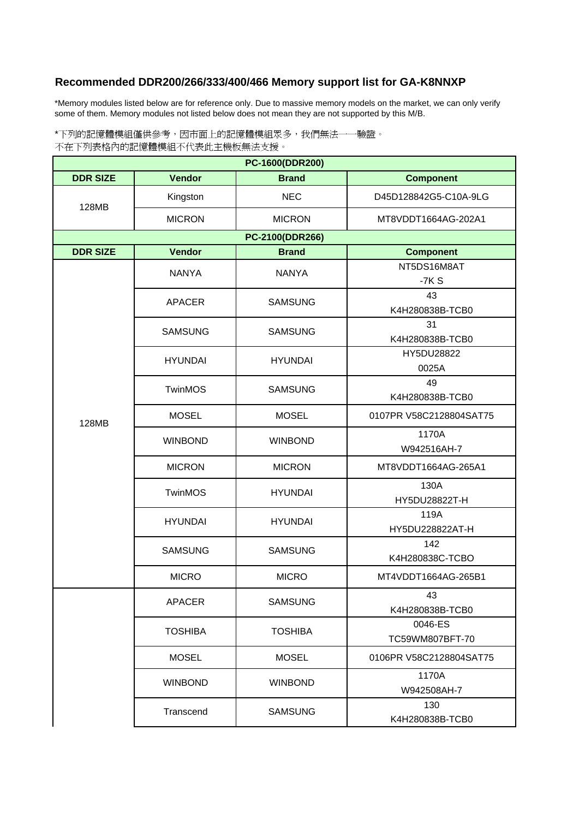## **Recommended DDR200/266/333/400/466 Memory support list for GA-K8NNXP**

\*Memory modules listed below are for reference only. Due to massive memory models on the market, we can only verify some of them. Memory modules not listed below does not mean they are not supported by this M/B.

\*下列的記憶體模組僅供參考,因市面上的記憶體模組眾多,我們無法一一驗證。 不在下列表格內的記憶體模組不代表此主機板無法支援。

| PC-1600(DDR200) |                |                 |                            |  |  |  |
|-----------------|----------------|-----------------|----------------------------|--|--|--|
| <b>DDR SIZE</b> | <b>Vendor</b>  | <b>Brand</b>    | <b>Component</b>           |  |  |  |
| 128MB           | Kingston       | <b>NEC</b>      | D45D128842G5-C10A-9LG      |  |  |  |
|                 | <b>MICRON</b>  | <b>MICRON</b>   | MT8VDDT1664AG-202A1        |  |  |  |
|                 |                | PC-2100(DDR266) |                            |  |  |  |
| <b>DDR SIZE</b> | <b>Vendor</b>  | <b>Brand</b>    | <b>Component</b>           |  |  |  |
|                 | <b>NANYA</b>   | <b>NANYA</b>    | NT5DS16M8AT<br>$-7KS$      |  |  |  |
|                 | <b>APACER</b>  | <b>SAMSUNG</b>  | 43<br>K4H280838B-TCB0      |  |  |  |
|                 | <b>SAMSUNG</b> | <b>SAMSUNG</b>  | 31<br>K4H280838B-TCB0      |  |  |  |
|                 | <b>HYUNDAI</b> | <b>HYUNDAI</b>  | HY5DU28822<br>0025A        |  |  |  |
|                 | <b>TwinMOS</b> | <b>SAMSUNG</b>  | 49<br>K4H280838B-TCB0      |  |  |  |
| 128MB           | <b>MOSEL</b>   | <b>MOSEL</b>    | 0107PR V58C2128804SAT75    |  |  |  |
|                 | <b>WINBOND</b> | <b>WINBOND</b>  | 1170A<br>W942516AH-7       |  |  |  |
|                 | <b>MICRON</b>  | <b>MICRON</b>   | MT8VDDT1664AG-265A1        |  |  |  |
|                 | <b>TwinMOS</b> | <b>HYUNDAI</b>  | 130A<br>HY5DU28822T-H      |  |  |  |
|                 | <b>HYUNDAI</b> | <b>HYUNDAI</b>  | 119A<br>HY5DU228822AT-H    |  |  |  |
|                 | <b>SAMSUNG</b> | <b>SAMSUNG</b>  | 142<br>K4H280838C-TCBO     |  |  |  |
|                 | <b>MICRO</b>   | <b>MICRO</b>    | MT4VDDT1664AG-265B1        |  |  |  |
|                 | APACER         | <b>SAMSUNG</b>  | 43<br>K4H280838B-TCB0      |  |  |  |
|                 | <b>TOSHIBA</b> | <b>TOSHIBA</b>  | 0046-ES<br>TC59WM807BFT-70 |  |  |  |
|                 | <b>MOSEL</b>   | <b>MOSEL</b>    | 0106PR V58C2128804SAT75    |  |  |  |
|                 | <b>WINBOND</b> | <b>WINBOND</b>  | 1170A<br>W942508AH-7       |  |  |  |
|                 | Transcend      | <b>SAMSUNG</b>  | 130<br>K4H280838B-TCB0     |  |  |  |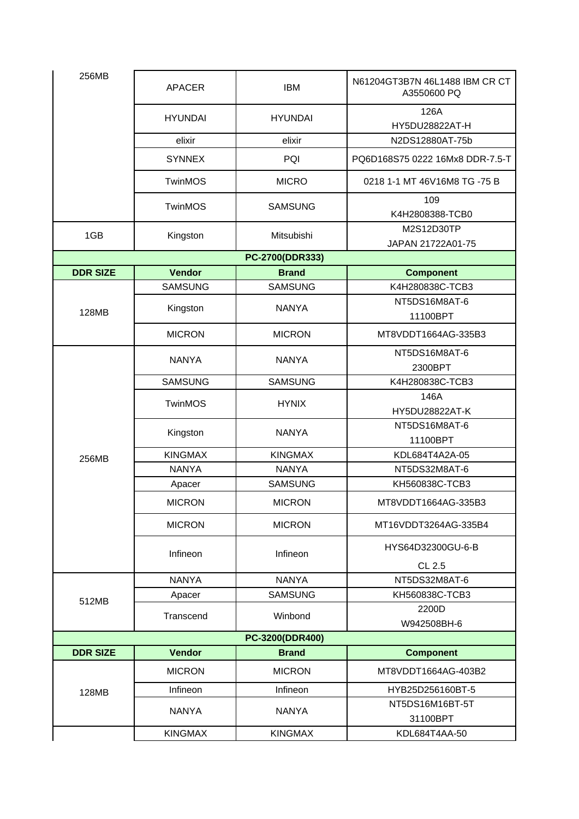| 256MB           | <b>APACER</b>  | <b>IBM</b>      | N61204GT3B7N 46L1488 IBM CR CT<br>A3550600 PQ |
|-----------------|----------------|-----------------|-----------------------------------------------|
|                 | <b>HYUNDAI</b> | <b>HYUNDAI</b>  | 126A<br>HY5DU28822AT-H                        |
|                 | elixir         | elixir          | N2DS12880AT-75b                               |
|                 | <b>SYNNEX</b>  | PQI             | PQ6D168S75 0222 16Mx8 DDR-7.5-T               |
|                 | <b>TwinMOS</b> | <b>MICRO</b>    | 0218 1-1 MT 46V16M8 TG -75 B                  |
|                 | <b>TwinMOS</b> | <b>SAMSUNG</b>  | 109<br>K4H2808388-TCB0                        |
| 1GB             | Kingston       | Mitsubishi      | M2S12D30TP                                    |
|                 |                |                 | JAPAN 21722A01-75                             |
|                 |                | PC-2700(DDR333) |                                               |
| <b>DDR SIZE</b> | <b>Vendor</b>  | <b>Brand</b>    | <b>Component</b>                              |
|                 | <b>SAMSUNG</b> | <b>SAMSUNG</b>  | K4H280838C-TCB3                               |
| 128MB           | Kingston       | <b>NANYA</b>    | NT5DS16M8AT-6<br>11100BPT                     |
|                 | <b>MICRON</b>  | <b>MICRON</b>   | MT8VDDT1664AG-335B3                           |
|                 | <b>NANYA</b>   | <b>NANYA</b>    | NT5DS16M8AT-6                                 |
|                 |                |                 | 2300BPT                                       |
|                 | <b>SAMSUNG</b> | <b>SAMSUNG</b>  | K4H280838C-TCB3                               |
|                 | <b>TwinMOS</b> | <b>HYNIX</b>    | 146A                                          |
|                 |                |                 | HY5DU28822AT-K                                |
|                 | Kingston       | <b>NANYA</b>    | NT5DS16M8AT-6                                 |
|                 |                |                 | 11100BPT                                      |
| 256MB           | <b>KINGMAX</b> | <b>KINGMAX</b>  | KDL684T4A2A-05                                |
|                 | <b>NANYA</b>   | <b>NANYA</b>    | NT5DS32M8AT-6                                 |
|                 | Apacer         | <b>SAMSUNG</b>  | KH560838C-TCB3                                |
|                 | <b>MICRON</b>  | <b>MICRON</b>   | MT8VDDT1664AG-335B3                           |
|                 | <b>MICRON</b>  | <b>MICRON</b>   | MT16VDDT3264AG-335B4                          |
|                 | Infineon       | Infineon        | HYS64D32300GU-6-B                             |
|                 |                |                 | CL 2.5                                        |
| 512MB           | <b>NANYA</b>   | <b>NANYA</b>    | NT5DS32M8AT-6                                 |
|                 | Apacer         | <b>SAMSUNG</b>  | KH560838C-TCB3                                |
|                 | Transcend      | Winbond         | 2200D                                         |
|                 |                |                 | W942508BH-6                                   |
|                 |                | PC-3200(DDR400) |                                               |
| <b>DDR SIZE</b> | <b>Vendor</b>  | <b>Brand</b>    | <b>Component</b>                              |
|                 | <b>MICRON</b>  | <b>MICRON</b>   | MT8VDDT1664AG-403B2                           |
|                 | Infineon       | Infineon        | HYB25D256160BT-5                              |
| 128MB           |                |                 |                                               |
|                 | <b>NANYA</b>   | <b>NANYA</b>    | NT5DS16M16BT-5T<br>31100BPT                   |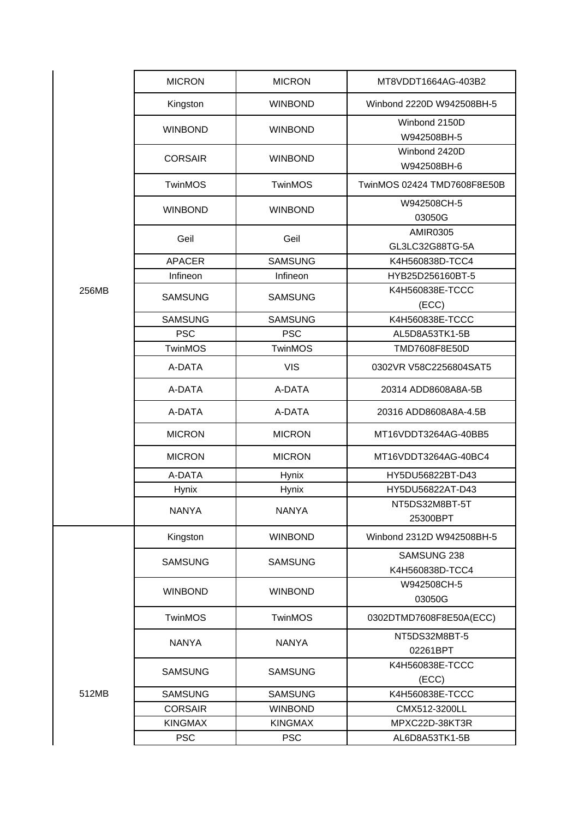|       | <b>MICRON</b>  | <b>MICRON</b>                | MT8VDDT1664AG-403B2                |
|-------|----------------|------------------------------|------------------------------------|
|       | Kingston       | <b>WINBOND</b>               | Winbond 2220D W942508BH-5          |
|       | <b>WINBOND</b> | <b>WINBOND</b>               | Winbond 2150D<br>W942508BH-5       |
|       |                | <b>WINBOND</b>               | Winbond 2420D                      |
|       | <b>CORSAIR</b> |                              | W942508BH-6                        |
|       | TwinMOS        | <b>TwinMOS</b>               | TwinMOS 02424 TMD7608F8E50B        |
|       | <b>WINBOND</b> | <b>WINBOND</b>               | W942508CH-5<br>03050G              |
|       | Geil           | Geil                         | <b>AMIR0305</b><br>GL3LC32G88TG-5A |
|       | <b>APACER</b>  | <b>SAMSUNG</b>               | K4H560838D-TCC4                    |
|       | Infineon       | Infineon                     | HYB25D256160BT-5                   |
| 256MB | <b>SAMSUNG</b> | <b>SAMSUNG</b>               | K4H560838E-TCCC                    |
|       | <b>SAMSUNG</b> |                              | (ECC)<br>K4H560838E-TCCC           |
|       | <b>PSC</b>     | <b>SAMSUNG</b><br><b>PSC</b> | AL5D8A53TK1-5B                     |
|       | <b>TwinMOS</b> | <b>TwinMOS</b>               | TMD7608F8E50D                      |
|       |                |                              |                                    |
|       | A-DATA         | <b>VIS</b>                   | 0302VR V58C2256804SAT5             |
|       | A-DATA         | A-DATA                       | 20314 ADD8608A8A-5B                |
|       | A-DATA         | A-DATA                       | 20316 ADD8608A8A-4.5B              |
|       | <b>MICRON</b>  | <b>MICRON</b>                | MT16VDDT3264AG-40BB5               |
|       | <b>MICRON</b>  | <b>MICRON</b>                | MT16VDDT3264AG-40BC4               |
|       | A-DATA         | Hynix                        | HY5DU56822BT-D43                   |
|       | Hynix          | Hynix                        | HY5DU56822AT-D43                   |
|       | <b>NANYA</b>   | <b>NANYA</b>                 | NT5DS32M8BT-5T<br>25300BPT         |
|       | Kingston       | <b>WINBOND</b>               | Winbond 2312D W942508BH-5          |
|       | <b>SAMSUNG</b> | <b>SAMSUNG</b>               | SAMSUNG 238<br>K4H560838D-TCC4     |
|       | <b>WINBOND</b> | <b>WINBOND</b>               | W942508CH-5<br>03050G              |
|       | <b>TwinMOS</b> | <b>TwinMOS</b>               | 0302DTMD7608F8E50A(ECC)            |
|       | <b>NANYA</b>   | <b>NANYA</b>                 | NT5DS32M8BT-5<br>02261BPT          |
|       | <b>SAMSUNG</b> | <b>SAMSUNG</b>               | K4H560838E-TCCC<br>(ECC)           |
| 512MB | <b>SAMSUNG</b> | <b>SAMSUNG</b>               | K4H560838E-TCCC                    |
|       | <b>CORSAIR</b> | <b>WINBOND</b>               | CMX512-3200LL                      |
|       | <b>KINGMAX</b> | <b>KINGMAX</b>               | MPXC22D-38KT3R                     |
|       | <b>PSC</b>     | <b>PSC</b>                   | AL6D8A53TK1-5B                     |